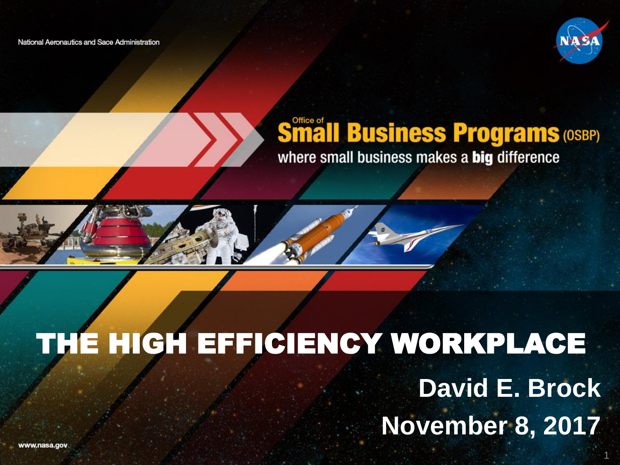National Aeronautics and Sace Administration



#### **Småll Business Programs (OSBP)** where small business makes a big difference



# THE HIGH EFFICIENCY WORKPLACE

### **David E. Brock November 8, 2017**

www.nasa.gov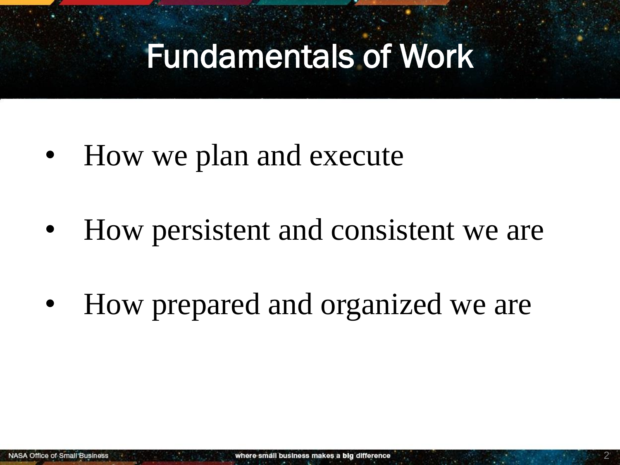### Fundamentals of Work

- How we plan and execute
- How persistent and consistent we are
- How prepared and organized we are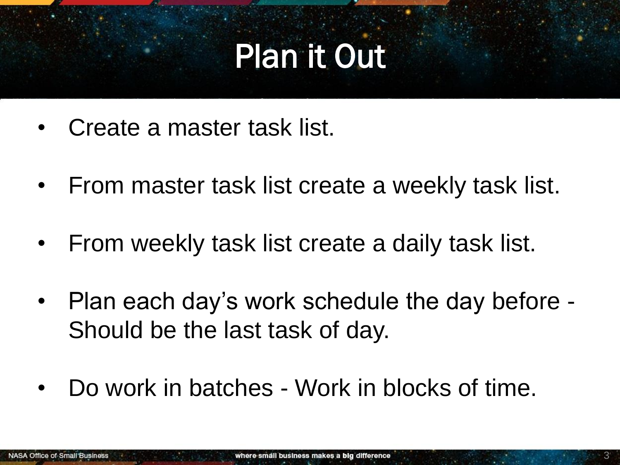# Plan it Out

- Create a master task list.
- From master task list create a weekly task list.
- From weekly task list create a daily task list.
- Plan each day's work schedule the day before Should be the last task of day.
- Do work in batches Work in blocks of time.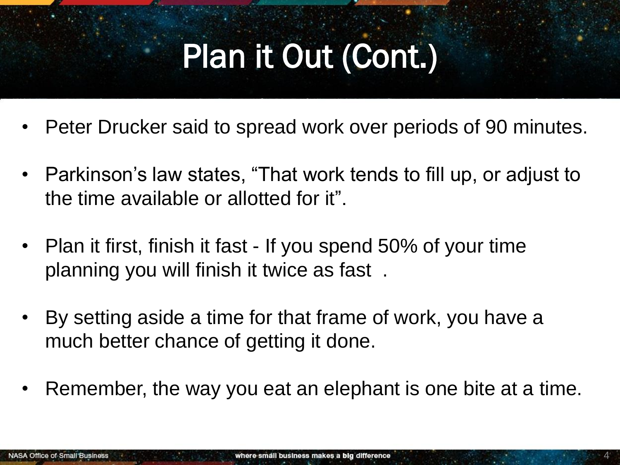# Plan it Out (Cont.)

- Peter Drucker said to spread work over periods of 90 minutes.
- Parkinson's law states, "That work tends to fill up, or adjust to the time available or allotted for it".
- Plan it first, finish it fast If you spend 50% of your time planning you will finish it twice as fast .
- By setting aside a time for that frame of work, you have a much better chance of getting it done.
- Remember, the way you eat an elephant is one bite at a time.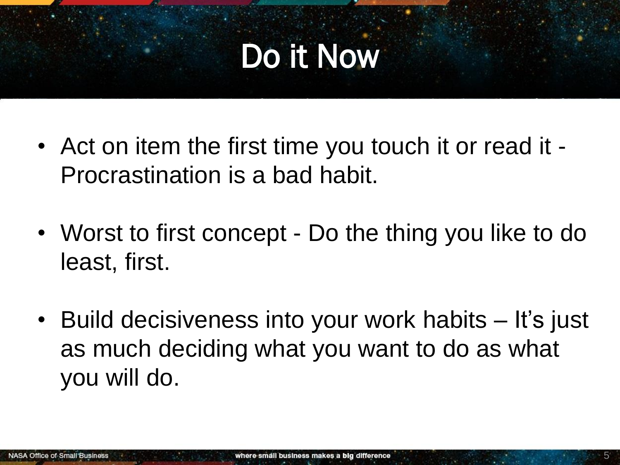# Do it Now

- Act on item the first time you touch it or read it Procrastination is a bad habit.
- Worst to first concept Do the thing you like to do least, first.
- Build decisiveness into your work habits It's just as much deciding what you want to do as what you will do.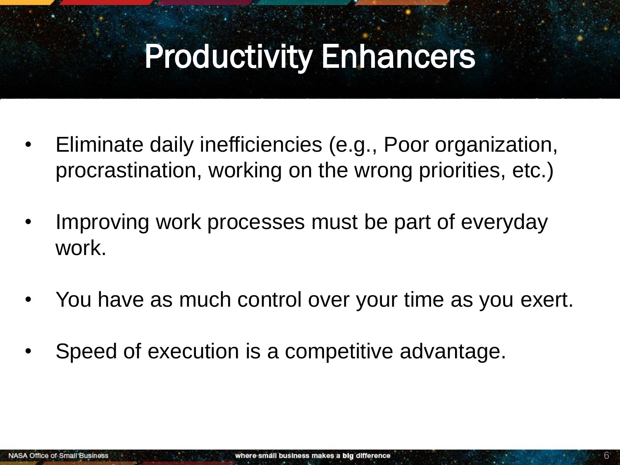### Productivity Enhancers

- Eliminate daily inefficiencies (e.g., Poor organization, procrastination, working on the wrong priorities, etc.)
- Improving work processes must be part of everyday work.
- You have as much control over your time as you exert.
- Speed of execution is a competitive advantage.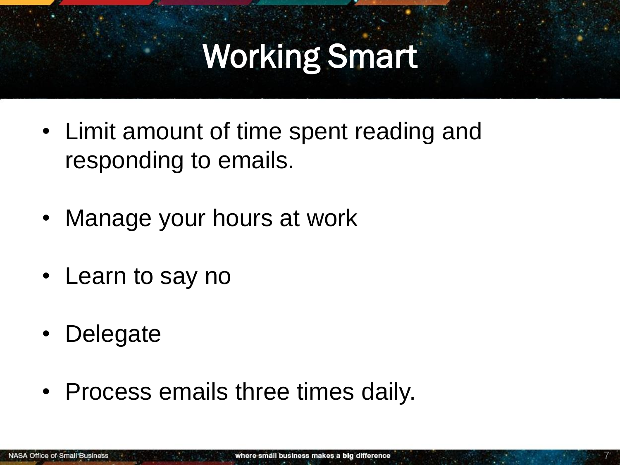## Working Smart

- Limit amount of time spent reading and responding to emails.
- Manage your hours at work
- Learn to say no
- Delegate
- Process emails three times daily.